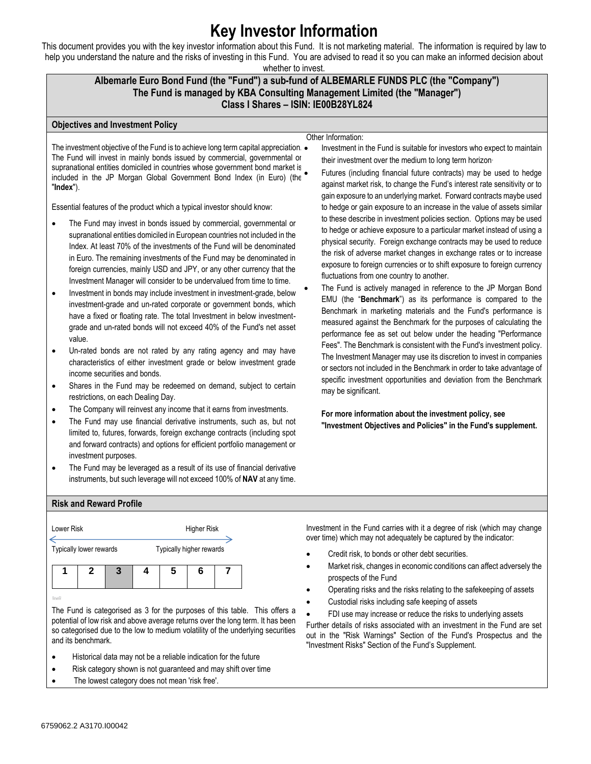# **Key Investor Information**

This document provides you with the key investor information about this Fund. It is not marketing material. The information is required by law to help you understand the nature and the risks of investing in this Fund. You are advised to read it so you can make an informed decision about

whether to invest.

## **Albemarle Euro Bond Fund (the "Fund") a sub-fund of ALBEMARLE FUNDS PLC (the "Company") The Fund is managed by KBA Consulting Management Limited (the "Manager") Class I Shares – ISIN: IE00B28YL824**

#### **Objectives and Investment Policy**

#### Other Information:

The investment objective of the Fund is to achieve long term capital appreciation.  $\bullet$ The Fund will invest in mainly bonds issued by commercial, governmental or supranational entities domiciled in countries whose government bond market is included in the JP Morgan Global Government Bond Index (in Euro) (the "**Index**").

Essential features of the product which a typical investor should know:

- The Fund may invest in bonds issued by commercial, governmental or supranational entities domiciled in European countries not included in the Index. At least 70% of the investments of the Fund will be denominated in Euro. The remaining investments of the Fund may be denominated in foreign currencies, mainly USD and JPY, or any other currency that the Investment Manager will consider to be undervalued from time to time.
- Investment in bonds may include investment in investment-grade, below investment-grade and un-rated corporate or government bonds, which have a fixed or floating rate. The total Investment in below investmentgrade and un-rated bonds will not exceed 40% of the Fund's net asset value.
- Un-rated bonds are not rated by any rating agency and may have characteristics of either investment grade or below investment grade income securities and bonds.
- Shares in the Fund may be redeemed on demand, subject to certain restrictions, on each Dealing Day.
- The Company will reinvest any income that it earns from investments.
- The Fund may use financial derivative instruments, such as, but not limited to, futures, forwards, foreign exchange contracts (including spot and forward contracts) and options for efficient portfolio management or investment purposes.
- The Fund may be leveraged as a result of its use of financial derivative instruments, but such leverage will not exceed 100% of **NAV** at any time.

their investment over the medium to long term horizon. • Futures (including financial future contracts) may be used to hedge against market risk, to change the Fund's interest rate sensitivity or to gain exposure to an underlying market. Forward contracts maybe used to hedge or gain exposure to an increase in the value of assets similar to these describe in investment policies section. Options may be used to hedge or achieve exposure to a particular market instead of using a physical security. Foreign exchange contracts may be used to reduce the risk of adverse market changes in exchange rates or to increase exposure to foreign currencies or to shift exposure to foreign currency fluctuations from one country to another.

• Investment in the Fund is suitable for investors who expect to maintain

The Fund is actively managed in reference to the JP Morgan Bond EMU (the "**Benchmark**") as its performance is compared to the Benchmark in marketing materials and the Fund's performance is measured against the Benchmark for the purposes of calculating the performance fee as set out below under the heading "Performance Fees". The Benchmark is consistent with the Fund's investment policy. The Investment Manager may use its discretion to invest in companies or sectors not included in the Benchmark in order to take advantage of specific investment opportunities and deviation from the Benchmark may be significant.

**For more information about the investment policy, see "Investment Objectives and Policies" in the Fund's supplement.**

## **Risk and Reward Profile**



The Fund is categorised as 3 for the purposes of this table. This offers a potential of low risk and above average returns over the long term. It has been so categorised due to the low to medium volatility of the underlying securities and its benchmark.

- Historical data may not be a reliable indication for the future
- Risk category shown is not guaranteed and may shift over time
- The lowest category does not mean 'risk free'.

Investment in the Fund carries with it a degree of risk (which may change over time) which may not adequately be captured by the indicator:

- Credit risk, to bonds or other debt securities.
- Market risk, changes in economic conditions can affect adversely the prospects of the Fund
- Operating risks and the risks relating to the safekeeping of assets
- Custodial risks including safe keeping of assets
- FDI use may increase or reduce the risks to underlying assets

Further details of risks associated with an investment in the Fund are set out in the "Risk Warnings" Section of the Fund's Prospectus and the "Investment Risks" Section of the Fund's Supplement.